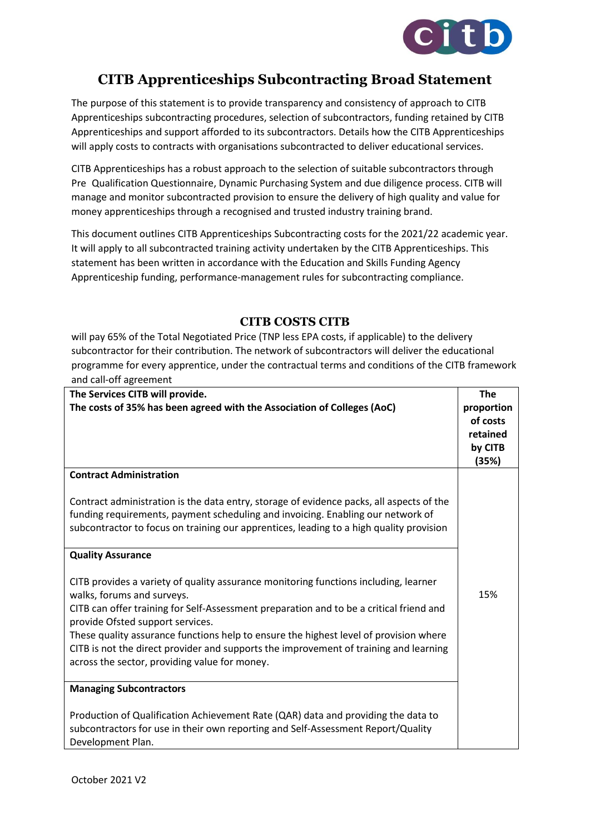

## **CITB Apprenticeships Subcontracting Broad Statement**

The purpose of this statement is to provide transparency and consistency of approach to CITB Apprenticeships subcontracting procedures, selection of subcontractors, funding retained by CITB Apprenticeships and support afforded to its subcontractors. Details how the CITB Apprenticeships will apply costs to contracts with organisations subcontracted to deliver educational services.

CITB Apprenticeships has a robust approach to the selection of suitable subcontractors through Pre Qualification Questionnaire, Dynamic Purchasing System and due diligence process. CITB will manage and monitor subcontracted provision to ensure the delivery of high quality and value for money apprenticeships through a recognised and trusted industry training brand.

This document outlines CITB Apprenticeships Subcontracting costs for the 2021/22 academic year. It will apply to all subcontracted training activity undertaken by the CITB Apprenticeships. This statement has been written in accordance with the Education and Skills Funding Agency Apprenticeship funding, performance-management rules for subcontracting compliance.

## **CITB COSTS CITB**

will pay 65% of the Total Negotiated Price (TNP less EPA costs, if applicable) to the delivery subcontractor for their contribution. The network of subcontractors will deliver the educational programme for every apprentice, under the contractual terms and conditions of the CITB framework and call-off agreement

| The Services CITB will provide.<br>The costs of 35% has been agreed with the Association of Colleges (AoC)                                                                                                                                                                                                                                                                                                                                                                           | <b>The</b><br>proportion<br>of costs<br>retained<br>by CITB<br>(35%) |
|--------------------------------------------------------------------------------------------------------------------------------------------------------------------------------------------------------------------------------------------------------------------------------------------------------------------------------------------------------------------------------------------------------------------------------------------------------------------------------------|----------------------------------------------------------------------|
| <b>Contract Administration</b>                                                                                                                                                                                                                                                                                                                                                                                                                                                       |                                                                      |
| Contract administration is the data entry, storage of evidence packs, all aspects of the<br>funding requirements, payment scheduling and invoicing. Enabling our network of<br>subcontractor to focus on training our apprentices, leading to a high quality provision                                                                                                                                                                                                               |                                                                      |
| <b>Quality Assurance</b>                                                                                                                                                                                                                                                                                                                                                                                                                                                             |                                                                      |
| CITB provides a variety of quality assurance monitoring functions including, learner<br>walks, forums and surveys.<br>CITB can offer training for Self-Assessment preparation and to be a critical friend and<br>provide Ofsted support services.<br>These quality assurance functions help to ensure the highest level of provision where<br>CITB is not the direct provider and supports the improvement of training and learning<br>across the sector, providing value for money. | 15%                                                                  |
| <b>Managing Subcontractors</b>                                                                                                                                                                                                                                                                                                                                                                                                                                                       |                                                                      |
| Production of Qualification Achievement Rate (QAR) data and providing the data to<br>subcontractors for use in their own reporting and Self-Assessment Report/Quality<br>Development Plan.                                                                                                                                                                                                                                                                                           |                                                                      |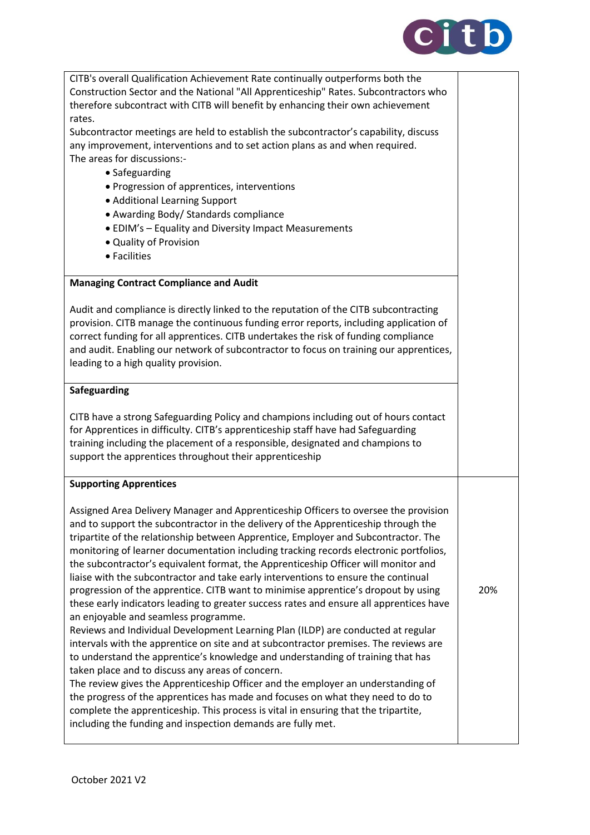

| CITB's overall Qualification Achievement Rate continually outperforms both the<br>Construction Sector and the National "All Apprenticeship" Rates. Subcontractors who<br>therefore subcontract with CITB will benefit by enhancing their own achievement<br>rates.                                                                                                                                                                                                                                                                                                                                                                                                                                                                                                                                                                                                                                                                                                                                                                                                                                                                                                                                                                                                                                                                             |     |
|------------------------------------------------------------------------------------------------------------------------------------------------------------------------------------------------------------------------------------------------------------------------------------------------------------------------------------------------------------------------------------------------------------------------------------------------------------------------------------------------------------------------------------------------------------------------------------------------------------------------------------------------------------------------------------------------------------------------------------------------------------------------------------------------------------------------------------------------------------------------------------------------------------------------------------------------------------------------------------------------------------------------------------------------------------------------------------------------------------------------------------------------------------------------------------------------------------------------------------------------------------------------------------------------------------------------------------------------|-----|
| Subcontractor meetings are held to establish the subcontractor's capability, discuss<br>any improvement, interventions and to set action plans as and when required.<br>The areas for discussions:-<br>• Safeguarding                                                                                                                                                                                                                                                                                                                                                                                                                                                                                                                                                                                                                                                                                                                                                                                                                                                                                                                                                                                                                                                                                                                          |     |
| • Progression of apprentices, interventions<br>• Additional Learning Support<br>• Awarding Body/ Standards compliance                                                                                                                                                                                                                                                                                                                                                                                                                                                                                                                                                                                                                                                                                                                                                                                                                                                                                                                                                                                                                                                                                                                                                                                                                          |     |
| • EDIM's - Equality and Diversity Impact Measurements<br>• Quality of Provision<br>• Facilities                                                                                                                                                                                                                                                                                                                                                                                                                                                                                                                                                                                                                                                                                                                                                                                                                                                                                                                                                                                                                                                                                                                                                                                                                                                |     |
| <b>Managing Contract Compliance and Audit</b>                                                                                                                                                                                                                                                                                                                                                                                                                                                                                                                                                                                                                                                                                                                                                                                                                                                                                                                                                                                                                                                                                                                                                                                                                                                                                                  |     |
| Audit and compliance is directly linked to the reputation of the CITB subcontracting<br>provision. CITB manage the continuous funding error reports, including application of<br>correct funding for all apprentices. CITB undertakes the risk of funding compliance<br>and audit. Enabling our network of subcontractor to focus on training our apprentices,<br>leading to a high quality provision.                                                                                                                                                                                                                                                                                                                                                                                                                                                                                                                                                                                                                                                                                                                                                                                                                                                                                                                                         |     |
| Safeguarding                                                                                                                                                                                                                                                                                                                                                                                                                                                                                                                                                                                                                                                                                                                                                                                                                                                                                                                                                                                                                                                                                                                                                                                                                                                                                                                                   |     |
| CITB have a strong Safeguarding Policy and champions including out of hours contact<br>for Apprentices in difficulty. CITB's apprenticeship staff have had Safeguarding<br>training including the placement of a responsible, designated and champions to<br>support the apprentices throughout their apprenticeship                                                                                                                                                                                                                                                                                                                                                                                                                                                                                                                                                                                                                                                                                                                                                                                                                                                                                                                                                                                                                           |     |
| <b>Supporting Apprentices</b>                                                                                                                                                                                                                                                                                                                                                                                                                                                                                                                                                                                                                                                                                                                                                                                                                                                                                                                                                                                                                                                                                                                                                                                                                                                                                                                  |     |
| Assigned Area Delivery Manager and Apprenticeship Officers to oversee the provision<br>and to support the subcontractor in the delivery of the Apprenticeship through the<br>tripartite of the relationship between Apprentice, Employer and Subcontractor. The<br>monitoring of learner documentation including tracking records electronic portfolios,<br>the subcontractor's equivalent format, the Apprenticeship Officer will monitor and<br>liaise with the subcontractor and take early interventions to ensure the continual<br>progression of the apprentice. CITB want to minimise apprentice's dropout by using<br>these early indicators leading to greater success rates and ensure all apprentices have<br>an enjoyable and seamless programme.<br>Reviews and Individual Development Learning Plan (ILDP) are conducted at regular<br>intervals with the apprentice on site and at subcontractor premises. The reviews are<br>to understand the apprentice's knowledge and understanding of training that has<br>taken place and to discuss any areas of concern.<br>The review gives the Apprenticeship Officer and the employer an understanding of<br>the progress of the apprentices has made and focuses on what they need to do to<br>complete the apprenticeship. This process is vital in ensuring that the tripartite, | 20% |
| including the funding and inspection demands are fully met.                                                                                                                                                                                                                                                                                                                                                                                                                                                                                                                                                                                                                                                                                                                                                                                                                                                                                                                                                                                                                                                                                                                                                                                                                                                                                    |     |